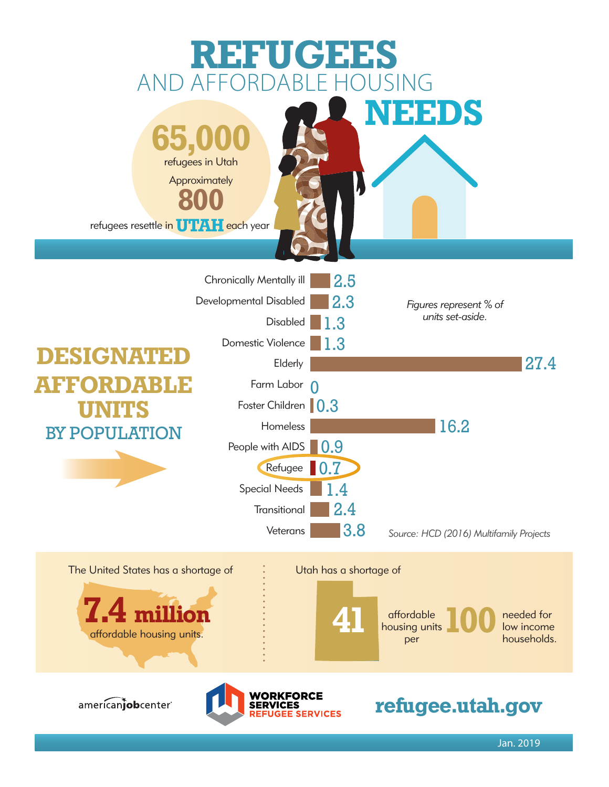

Jan. 2019